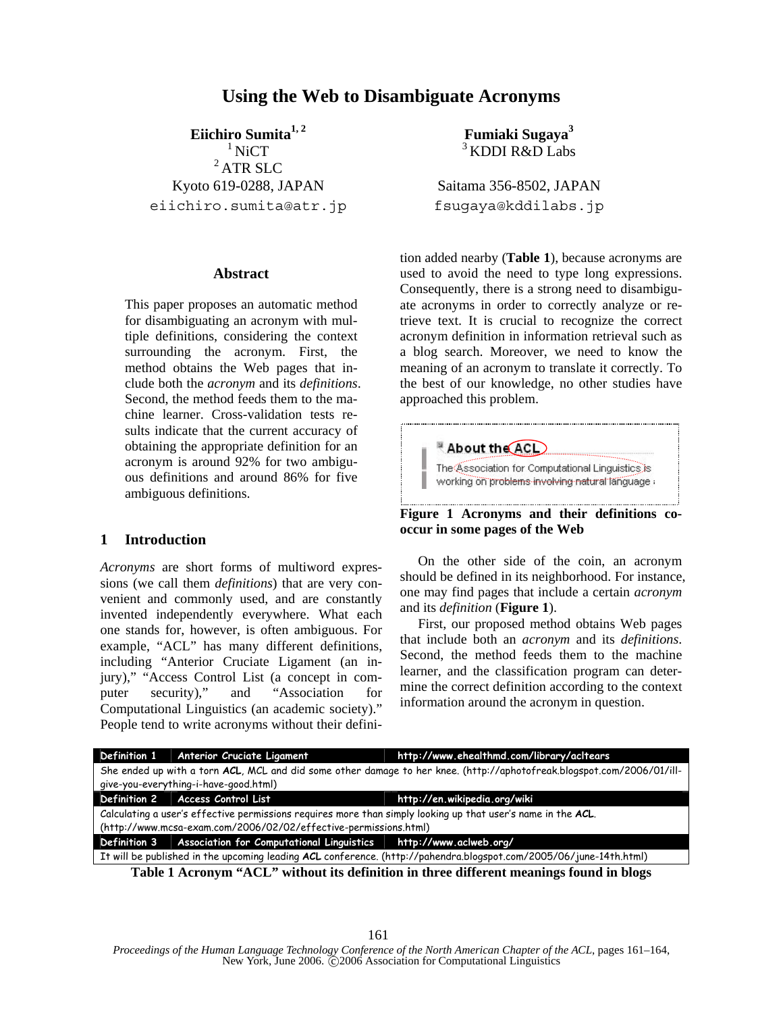# **Using the Web to Disambiguate Acronyms**

**Eiichiro Sumita1, 2**

 $1$  NiCT 2 ATR SLC Kyoto 619-0288, JAPAN eiichiro.sumita@atr.jp

## **Abstract**

This paper proposes an automatic method for disambiguating an acronym with multiple definitions, considering the context surrounding the acronym. First, the method obtains the Web pages that include both the *acronym* and its *definitions*. Second, the method feeds them to the machine learner. Cross-validation tests results indicate that the current accuracy of obtaining the appropriate definition for an acronym is around 92% for two ambiguous definitions and around 86% for five ambiguous definitions.

## **1 Introduction**

*Acronyms* are short forms of multiword expressions (we call them *definitions*) that are very convenient and commonly used, and are constantly invented independently everywhere. What each one stands for, however, is often ambiguous. For example, "ACL" has many different definitions, including "Anterior Cruciate Ligament (an injury)," "Access Control List (a concept in computer security)," and "Association for Computational Linguistics (an academic society)." People tend to write acronyms without their defini-

**Fumiaki Sugaya<sup>3</sup>** <sup>3</sup> KDDI R&D Labs

Saitama 356-8502, JAPAN fsugaya@kddilabs.jp

tion added nearby (**Table 1**), because acronyms are used to avoid the need to type long expressions. Consequently, there is a strong need to disambiguate acronyms in order to correctly analyze or retrieve text. It is crucial to recognize the correct acronym definition in information retrieval such as a blog search. Moreover, we need to know the meaning of an acronym to translate it correctly. To the best of our knowledge, no other studies have approached this problem.



**occur in some pages of the Web** 

On the other side of the coin, an acronym should be defined in its neighborhood. For instance, one may find pages that include a certain *acronym* and its *definition* (**Figure 1**).

First, our proposed method obtains Web pages that include both an *acronym* and its *definitions*. Second, the method feeds them to the machine learner, and the classification program can determine the correct definition according to the context information around the acronym in question.

|                                                                                                                    | Definition 1 Anterior Cruciate Ligament                                                                                | http://www.ehealthmd.com/library/acitears                                     |  |  |  |
|--------------------------------------------------------------------------------------------------------------------|------------------------------------------------------------------------------------------------------------------------|-------------------------------------------------------------------------------|--|--|--|
|                                                                                                                    | She ended up with a torn ACL, MCL and did some other damage to her knee. (http://aphotofreak.blogspot.com/2006/01/ill- |                                                                               |  |  |  |
| give-you-everything-i-have-good.html)                                                                              |                                                                                                                        |                                                                               |  |  |  |
|                                                                                                                    | Definition 2 Access Control List                                                                                       | http://en.wikipedia.org/wiki                                                  |  |  |  |
| Calculating a user's effective permissions requires more than simply looking up that user's name in the ACL.       |                                                                                                                        |                                                                               |  |  |  |
| (http://www.mcsa-exam.com/2006/02/02/effective-permissions.html)                                                   |                                                                                                                        |                                                                               |  |  |  |
|                                                                                                                    |                                                                                                                        | Definition 3 Association for Computational Linguistics http://www.aclweb.org/ |  |  |  |
| It will be published in the upcoming leading ACL conference. (http://pahendra.blogspot.com/2005/06/june-14th.html) |                                                                                                                        |                                                                               |  |  |  |
| Table 1 Acronym "ACL" without its definition in three different meanings found in blogs                            |                                                                                                                        |                                                                               |  |  |  |

161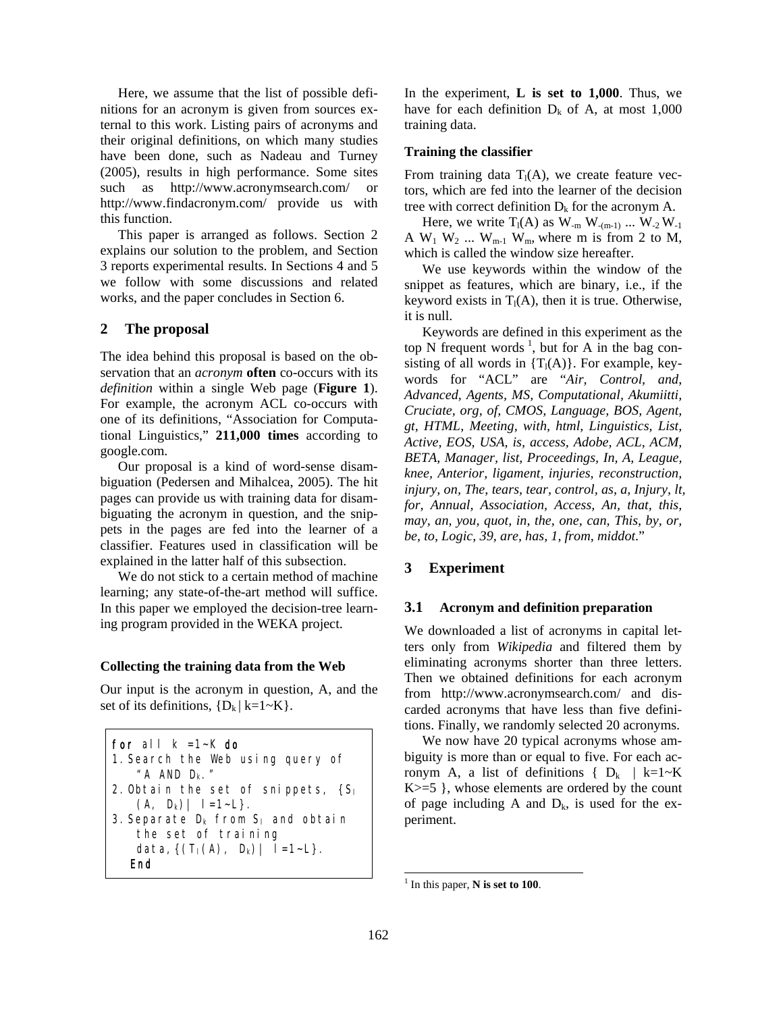Here, we assume that the list of possible definitions for an acronym is given from sources external to this work. Listing pairs of acronyms and their original definitions, on which many studies have been done, such as Nadeau and Turney (2005), results in high performance. Some sites such as http://www.acronymsearch.com/ or http://www.findacronym.com/ provide us with this function.

This paper is arranged as follows. Section 2 explains our solution to the problem, and Section 3 reports experimental results. In Sections 4 and 5 we follow with some discussions and related works, and the paper concludes in Section 6.

## **2 The proposal**

The idea behind this proposal is based on the observation that an *acronym* **often** co-occurs with its *definition* within a single Web page (**Figure 1**). For example, the acronym ACL co-occurs with one of its definitions, "Association for Computational Linguistics," **211,000 times** according to google.com.

Our proposal is a kind of word-sense disambiguation (Pedersen and Mihalcea, 2005). The hit pages can provide us with training data for disambiguating the acronym in question, and the snippets in the pages are fed into the learner of a classifier. Features used in classification will be explained in the latter half of this subsection.

We do not stick to a certain method of machine learning; any state-of-the-art method will suffice. In this paper we employed the decision-tree learning program provided in the WEKA project.

#### **Collecting the training data from the Web**

Our input is the acronym in question, A, and the set of its definitions,  ${D_k | k=1~K}.$ 

| for all $k = 1-k$ do                    |
|-----------------------------------------|
| 1. Search the Web using query of        |
| " A AND $D_{k}$ ."                      |
| 2. Obtain the set of snippets, $\{S_i$  |
| $(A, D_k)   I = 1-L$ .                  |
| 3. Separate $D_k$ from $S_l$ and obtain |
| the set of training                     |
| data, $\{(T_1(A), D_k)   I=1-L\}$ .     |
|                                         |

In the experiment, **L is set to 1,000**. Thus, we have for each definition  $D_k$  of A, at most 1,000 training data.

#### **Training the classifier**

From training data  $T_1(A)$ , we create feature vectors, which are fed into the learner of the decision tree with correct definition  $D_k$  for the acronym A.

Here, we write  $T_1(A)$  as  $W_{-m}$   $W_{-(m-1)}$  ...  $W_{-2}$   $W_{-1}$ A  $W_1$   $W_2$  ...  $W_{m-1}$   $W_m$ , where m is from 2 to M, which is called the window size hereafter.

We use keywords within the window of the snippet as features, which are binary, i.e., if the keyword exists in  $T_1(A)$ , then it is true. Otherwise, it is null.

Keywords are defined in this experiment as the top N frequent words<sup>1</sup>, but for A in the bag consisting of all words in  ${T<sub>1</sub>(A)}$ . For example, keywords for "ACL" are "*Air, Control, and, Advanced, Agents, MS, Computational, Akumiitti, Cruciate, org, of, CMOS, Language, BOS, Agent, gt, HTML, Meeting, with, html, Linguistics, List, Active, EOS, USA, is, access, Adobe, ACL, ACM, BETA, Manager, list, Proceedings, In, A, League, knee, Anterior, ligament, injuries, reconstruction, injury, on, The, tears, tear, control, as, a, Injury, lt, for, Annual, Association, Access, An, that, this, may, an, you, quot, in, the, one, can, This, by, or, be, to, Logic, 39, are, has, 1, from, middot*."

### **3 Experiment**

#### **3.1 Acronym and definition preparation**

We downloaded a list of acronyms in capital letters only from *Wikipedia* and filtered them by eliminating acronyms shorter than three letters. Then we obtained definitions for each acronym from http://www.acronymsearch.com/ and discarded acronyms that have less than five definitions. Finally, we randomly selected 20 acronyms.

We now have 20 typical acronyms whose ambiguity is more than or equal to five. For each acronym A, a list of definitions  $\{D_k | k=1 \sim K\}$  $K>=5$ }, whose elements are ordered by the count of page including A and  $D_k$ , is used for the experiment.

 $\overline{a}$ 

<sup>1</sup> In this paper, **N is set to 100**.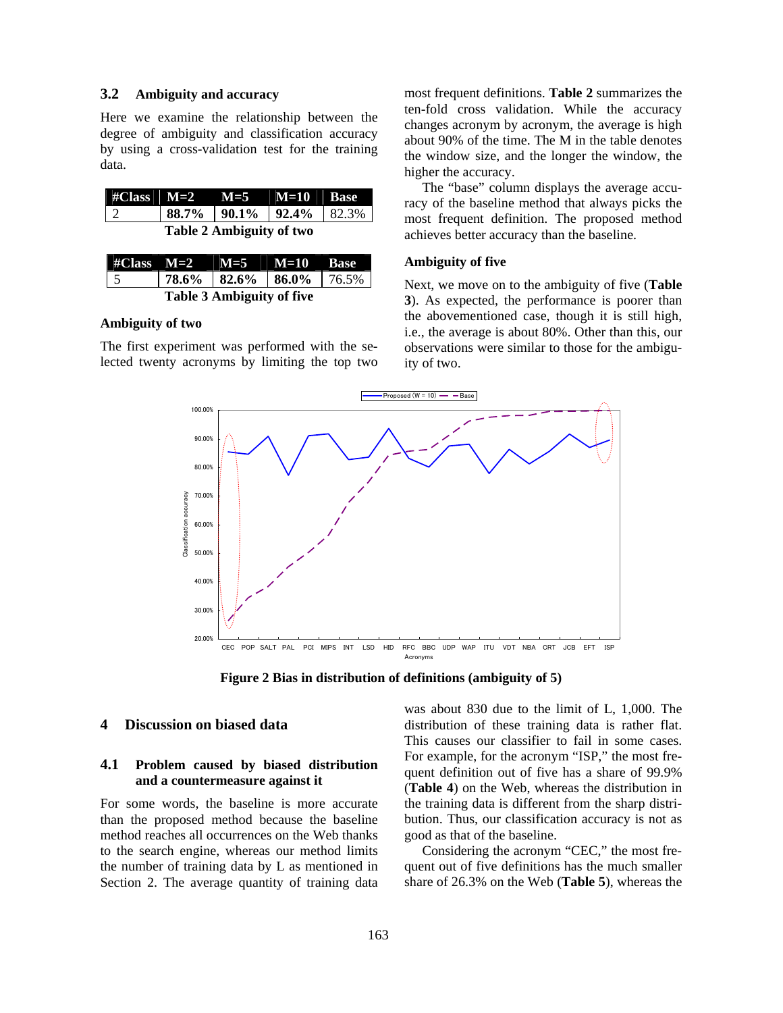## **3.2 Ambiguity and accuracy**

Here we examine the relationship between the degree of ambiguity and classification accuracy by using a cross-validation test for the training data.

|                          |  | $\#Class$ M=2 $\mid$ M=5 $\mid$ M=10 Base               |  |  |
|--------------------------|--|---------------------------------------------------------|--|--|
|                          |  | $\vert$ 88.7% $\vert$ 90.1% $\vert$ 92.4% $\vert$ 82.3% |  |  |
| Table 2 Ambiguity of two |  |                                                         |  |  |

|                                  |  | #Class $M=2$   $M=5$   $M=10$   Base |  |  |
|----------------------------------|--|--------------------------------------|--|--|
|                                  |  | 78.6%   82.6%   86.0%   76.5%        |  |  |
| <b>Table 3 Ambiguity of five</b> |  |                                      |  |  |

### **Ambiguity of two**

The first experiment was performed with the selected twenty acronyms by limiting the top two most frequent definitions. **Table 2** summarizes the ten-fold cross validation. While the accuracy changes acronym by acronym, the average is high about 90% of the time. The M in the table denotes the window size, and the longer the window, the higher the accuracy.

The "base" column displays the average accuracy of the baseline method that always picks the most frequent definition. The proposed method achieves better accuracy than the baseline.

#### **Ambiguity of five**

Next, we move on to the ambiguity of five (**Table 3**). As expected, the performance is poorer than the abovementioned case, though it is still high, i.e., the average is about 80%. Other than this, our observations were similar to those for the ambiguity of two.



**Figure 2 Bias in distribution of definitions (ambiguity of 5)**

## **4 Discussion on biased data**

## **4.1 Problem caused by biased distribution and a countermeasure against it**

For some words, the baseline is more accurate than the proposed method because the baseline method reaches all occurrences on the Web thanks to the search engine, whereas our method limits the number of training data by L as mentioned in Section 2. The average quantity of training data

was about 830 due to the limit of L, 1,000. The distribution of these training data is rather flat. This causes our classifier to fail in some cases. For example, for the acronym "ISP," the most frequent definition out of five has a share of 99.9% (**Table 4**) on the Web, whereas the distribution in the training data is different from the sharp distribution. Thus, our classification accuracy is not as good as that of the baseline.

Considering the acronym "CEC," the most frequent out of five definitions has the much smaller share of 26.3% on the Web (**Table 5**), whereas the